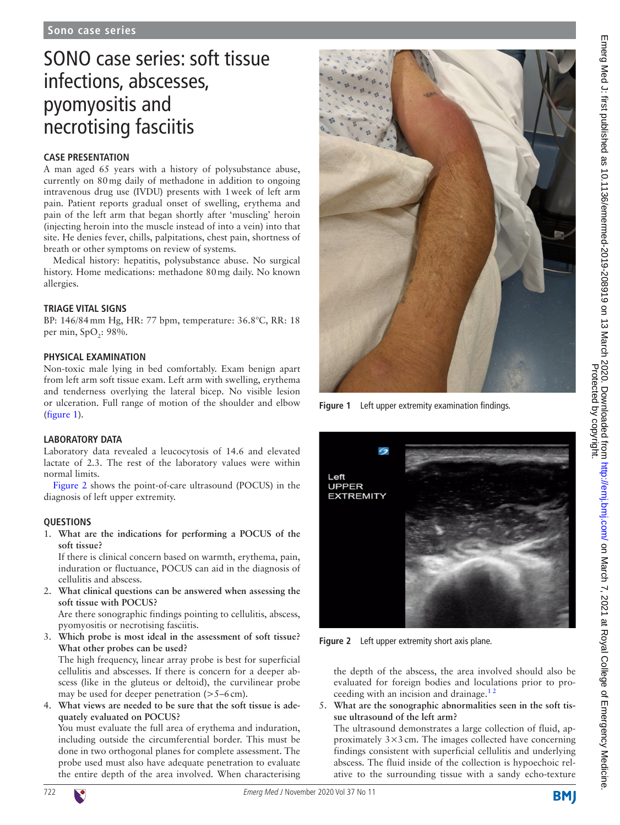# SONO case series: soft tissue infections, abscesses, pyomyositis and necrotising fasciitis

# **Case presentation**

A man aged 65 years with a history of polysubstance abuse, currently on 80mg daily of methadone in addition to ongoing intravenous drug use (IVDU) presents with 1week of left arm pain. Patient reports gradual onset of swelling, erythema and pain of the left arm that began shortly after 'muscling' heroin (injecting heroin into the muscle instead of into a vein) into that site. He denies fever, chills, palpitations, chest pain, shortness of breath or other symptoms on review of systems.

Medical history: hepatitis, polysubstance abuse. No surgical history. Home medications: methadone 80mg daily. No known allergies.

# **Triage vital signs**

BP: 146/84mm Hg, HR: 77 bpm, temperature: 36.8°C, RR: 18 per min, SpO<sub>2</sub>: 98%.

## **Physical examination**

Non-toxic male lying in bed comfortably. Exam benign apart from left arm soft tissue exam. Left arm with swelling, erythema and tenderness overlying the lateral bicep. No visible lesion or ulceration. Full range of motion of the shoulder and elbow ([figure](#page-0-0) 1).

## **Laboratory data**

Laboratory data revealed a leucocytosis of 14.6 and elevated lactate of 2.3. The rest of the laboratory values were within normal limits.

[Figure](#page-0-1) 2 shows the point-of-care ultrasound (POCUS) in the diagnosis of left upper extremity.

## **Questions**

1. **What are the indications for performing a POCUS of the soft tissue?**

If there is clinical concern based on warmth, erythema, pain, induration or fluctuance, POCUS can aid in the diagnosis of cellulitis and abscess.

2. **What clinical questions can be answered when assessing the soft tissue with POCUS?**

Are there sonographic findings pointing to cellulitis, abscess, pyomyositis or necrotising fasciitis.

3. **Which probe is most ideal in the assessment of soft tissue? What other probes can be used?**

The high frequency, linear array probe is best for superficial cellulitis and abscesses. If there is concern for a deeper abscess (like in the gluteus or deltoid), the curvilinear probe may be used for deeper penetration (>5–6cm).

4. **What views are needed to be sure that the soft tissue is adequately evaluated on POCUS?**

You must evaluate the full area of erythema and induration, including outside the circumferential border. This must be done in two orthogonal planes for complete assessment. The probe used must also have adequate penetration to evaluate the entire depth of the area involved. When characterising



**Figure 1** Left upper extremity examination findings.

<span id="page-0-0"></span>

**Figure 2** Left upper extremity short axis plane.

<span id="page-0-1"></span>the depth of the abscess, the area involved should also be evaluated for foreign bodies and loculations prior to proceeding with an incision and drainage.<sup>12</sup>

5. **What are the sonographic abnormalities seen in the soft tissue ultrasound of the left arm?**

The ultrasound demonstrates a large collection of fluid, approximately  $3 \times 3$  cm. The images collected have concerning findings consistent with superficial cellulitis and underlying abscess. The fluid inside of the collection is hypoechoic relative to the surrounding tissue with a sandy echo-texture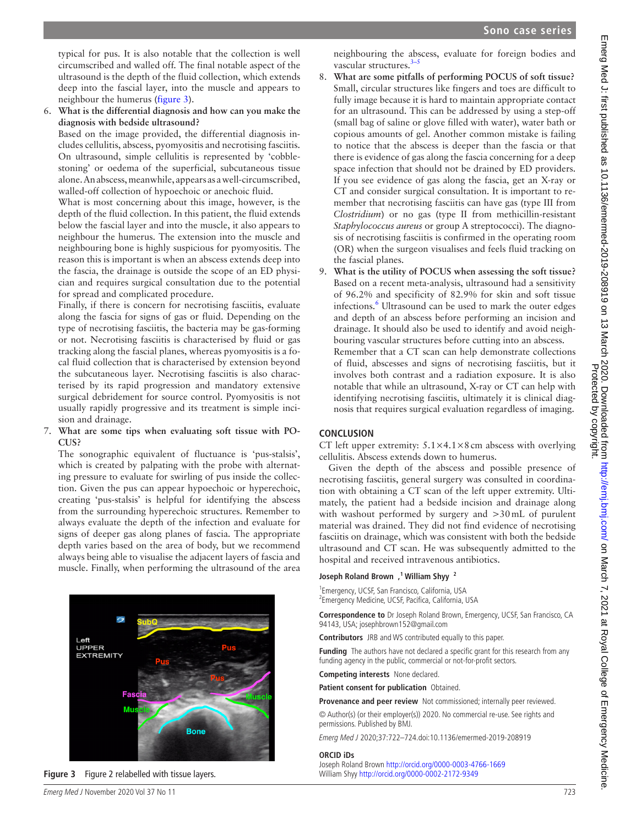typical for pus. It is also notable that the collection is well circumscribed and walled off. The final notable aspect of the ultrasound is the depth of the fluid collection, which extends deep into the fascial layer, into the muscle and appears to neighbour the humerus [\(figure](#page-1-0) 3).

6. **What is the differential diagnosis and how can you make the diagnosis with bedside ultrasound?**

Based on the image provided, the differential diagnosis includes cellulitis, abscess, pyomyositis and necrotising fasciitis. On ultrasound, simple cellulitis is represented by 'cobblestoning' or oedema of the superficial, subcutaneous tissue alone. An abscess, meanwhile, appears as a well-circumscribed, walled-off collection of hypoechoic or anechoic fluid.

What is most concerning about this image, however, is the depth of the fluid collection. In this patient, the fluid extends below the fascial layer and into the muscle, it also appears to neighbour the humerus. The extension into the muscle and neighbouring bone is highly suspicious for pyomyositis. The reason this is important is when an abscess extends deep into the fascia, the drainage is outside the scope of an ED physician and requires surgical consultation due to the potential for spread and complicated procedure.

Finally, if there is concern for necrotising fasciitis, evaluate along the fascia for signs of gas or fluid. Depending on the type of necrotising fasciitis, the bacteria may be gas-forming or not. Necrotising fasciitis is characterised by fluid or gas tracking along the fascial planes, whereas pyomyositis is a focal fluid collection that is characterised by extension beyond the subcutaneous layer. Necrotising fasciitis is also characterised by its rapid progression and mandatory extensive surgical debridement for source control. Pyomyositis is not usually rapidly progressive and its treatment is simple incision and drainage.

#### 7. **What are some tips when evaluating soft tissue with PO-CUS?**

The sonographic equivalent of fluctuance is 'pus-stalsis', which is created by palpating with the probe with alternating pressure to evaluate for swirling of pus inside the collection. Given the pus can appear hypoechoic or hyperechoic, creating 'pus-stalsis' is helpful for identifying the abscess from the surrounding hyperechoic structures. Remember to always evaluate the depth of the infection and evaluate for signs of deeper gas along planes of fascia. The appropriate depth varies based on the area of body, but we recommend always being able to visualise the adjacent layers of fascia and muscle. Finally, when performing the ultrasound of the area



<span id="page-1-0"></span>**Figure 3** Figure 2 relabelled with tissue layers. William Shyy<http://orcid.org/0000-0002-2172-9349>

neighbouring the abscess, evaluate for foreign bodies and vascular structures.<sup>3-5</sup>

- 8. **What are some pitfalls of performing POCUS of soft tissue?** Small, circular structures like fingers and toes are difficult to fully image because it is hard to maintain appropriate contact for an ultrasound. This can be addressed by using a step-off (small bag of saline or glove filled with water), water bath or copious amounts of gel. Another common mistake is failing to notice that the abscess is deeper than the fascia or that there is evidence of gas along the fascia concerning for a deep space infection that should not be drained by ED providers. If you see evidence of gas along the fascia, get an X-ray or CT and consider surgical consultation. It is important to remember that necrotising fasciitis can have gas (type III from *Clostridium*) or no gas (type II from methicillin-resistant *Staphylococcus aureus* or group A streptococci). The diagnosis of necrotising fasciitis is confirmed in the operating room (OR) when the surgeon visualises and feels fluid tracking on the fascial planes.
- 9. **What is the utility of POCUS when assessing the soft tissue?** Based on a recent meta-analysis, ultrasound had a sensitivity of 96.2% and specificity of 82.9% for skin and soft tissue infections.<sup>[6](#page-2-2)</sup> Ultrasound can be used to mark the outer edges and depth of an abscess before performing an incision and drainage. It should also be used to identify and avoid neighbouring vascular structures before cutting into an abscess. Remember that a CT scan can help demonstrate collections of fluid, abscesses and signs of necrotising fasciitis, but it involves both contrast and a radiation exposure. It is also

notable that while an ultrasound, X-ray or CT can help with identifying necrotising fasciitis, ultimately it is clinical diagnosis that requires surgical evaluation regardless of imaging.

# **Conclusion**

CT left upper extremity:  $5.1 \times 4.1 \times 8$  cm abscess with overlying cellulitis. Abscess extends down to humerus.

Given the depth of the abscess and possible presence of necrotising fasciitis, general surgery was consulted in coordination with obtaining a CT scan of the left upper extremity. Ultimately, the patient had a bedside incision and drainage along with washout performed by surgery and >30mL of purulent material was drained. They did not find evidence of necrotising fasciitis on drainage, which was consistent with both the bedside ultrasound and CT scan. He was subsequently admitted to the hospital and received intravenous antibiotics.

## **Joseph Roland Brown ,1 William Shyy <sup>2</sup>**

1 Emergency, UCSF, San Francisco, California, USA <sup>2</sup> Emergency Medicine, UCSF, Pacifica, California, USA

**Correspondence to** Dr Joseph Roland Brown, Emergency, UCSF, San Francisco, CA 94143, USA; josephbrown152@gmail.com

**Contributors** JRB and WS contributed equally to this paper.

**Funding** The authors have not declared a specific grant for this research from any funding agency in the public, commercial or not-for-profit sectors.

**Competing interests** None declared.

**Patient consent for publication** Obtained.

**Provenance and peer review** Not commissioned; internally peer reviewed. © Author(s) (or their employer(s)) 2020. No commercial re-use. See rights and permissions. Published by BMJ.

Emerg Med J 2020;37:722–724.doi:10.1136/emermed-2019-208919

#### **ORCID iDs**

Joseph Roland Brown<http://orcid.org/0000-0003-4766-1669>